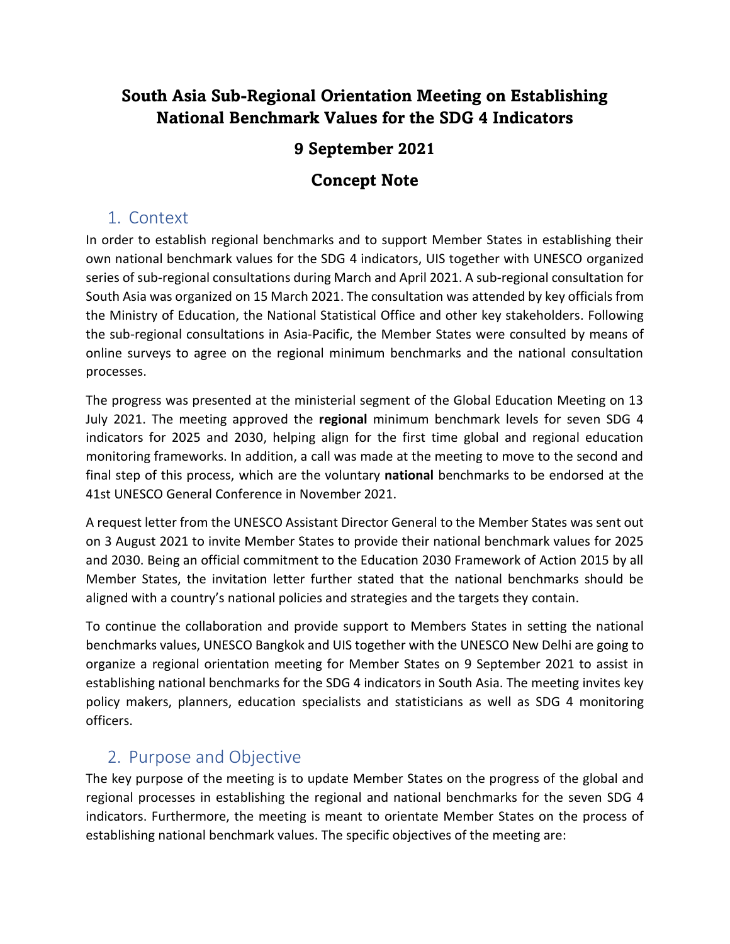# **South Asia Sub-Regional Orientation Meeting on Establishing National Benchmark Values for the SDG 4 Indicators**

## **9 September 2021**

## **Concept Note**

## 1. Context

In order to establish regional benchmarks and to support Member States in establishing their own national benchmark values for the SDG 4 indicators, UIS together with UNESCO organized series of sub-regional consultations during March and April 2021. A sub-regional consultation for South Asia was organized on 15 March 2021. The consultation was attended by key officials from the Ministry of Education, the National Statistical Office and other key stakeholders. Following the sub-regional consultations in Asia-Pacific, the Member States were consulted by means of online surveys to agree on the regional minimum benchmarks and the national consultation processes.

The progress was presented at the ministerial segment of the Global Education Meeting on 13 July 2021. The meeting approved the **regional** minimum benchmark levels for seven SDG 4 indicators for 2025 and 2030, helping align for the first time global and regional education monitoring frameworks. In addition, a call was made at the meeting to move to the second and final step of this process, which are the voluntary **national** benchmarks to be endorsed at the 41st UNESCO General Conference in November 2021.

A request letter from the UNESCO Assistant Director General to the Member States was sent out on 3 August 2021 to invite Member States to provide their national benchmark values for 2025 and 2030. Being an official commitment to the Education 2030 Framework of Action 2015 by all Member States, the invitation letter further stated that the national benchmarks should be aligned with a country's national policies and strategies and the targets they contain.

To continue the collaboration and provide support to Members States in setting the national benchmarks values, UNESCO Bangkok and UIS together with the UNESCO New Delhi are going to organize a regional orientation meeting for Member States on 9 September 2021 to assist in establishing national benchmarks for the SDG 4 indicators in South Asia. The meeting invites key policy makers, planners, education specialists and statisticians as well as SDG 4 monitoring officers.

# 2. Purpose and Objective

The key purpose of the meeting is to update Member States on the progress of the global and regional processes in establishing the regional and national benchmarks for the seven SDG 4 indicators. Furthermore, the meeting is meant to orientate Member States on the process of establishing national benchmark values. The specific objectives of the meeting are: